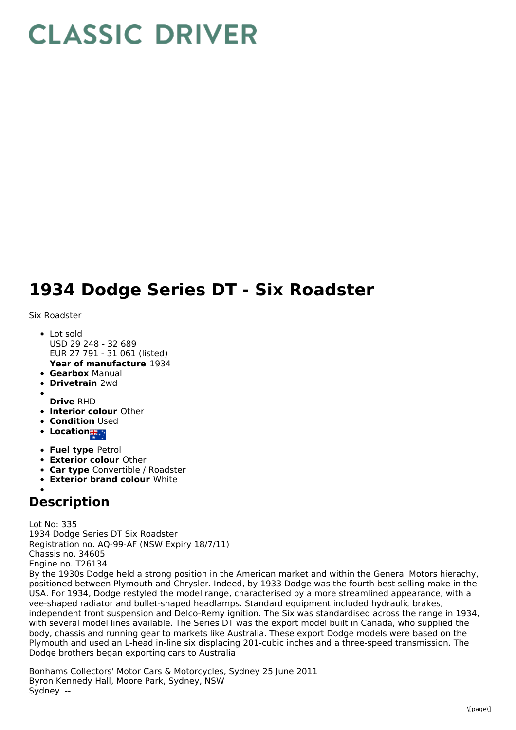## **CLASSIC DRIVER**

## **1934 Dodge Series DT - Six Roadster**

Six Roadster

- **Year of manufacture** 1934 • Lot sold USD 29 248 - 32 689 EUR 27 791 - 31 061 (listed)
- **Gearbox** Manual
- **Drivetrain** 2wd
- **Drive** RHD
- **Interior colour** Other
- **Condition Used**
- **Location # 19**
- **Fuel type** Petrol
- **Exterior colour** Other
- **Car type** Convertible / Roadster
- **Exterior brand colour** White

## **Description**

Lot No: 335 1934 Dodge Series DT Six Roadster Registration no. AQ-99-AF (NSW Expiry 18/7/11) Chassis no. 34605 Engine no. T26134 By the 1930s Dodge held a strong position in the American market and within the General Motors hierachy, positioned between Plymouth and Chrysler. Indeed, by 1933 Dodge was the fourth best selling make in the USA. For 1934, Dodge restyled the model range, characterised by a more streamlined appearance, with a vee-shaped radiator and bullet-shaped headlamps. Standard equipment included hydraulic brakes, independent front suspension and Delco-Remy ignition. The Six was standardised across the range in 1934, with several model lines available. The Series DT was the export model built in Canada, who supplied the body, chassis and running gear to markets like Australia. These export Dodge models were based on the Plymouth and used an L-head in-line six displacing 201-cubic inches and a three-speed transmission. The Dodge brothers began exporting cars to Australia

Bonhams Collectors' Motor Cars & Motorcycles, Sydney 25 June 2011 Byron Kennedy Hall, Moore Park, Sydney, NSW Sydney --